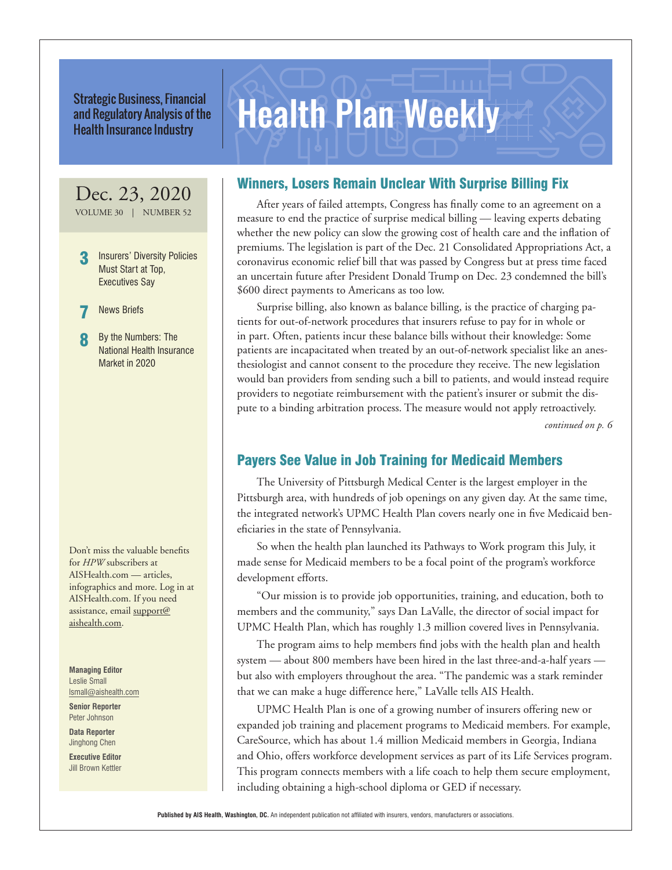Strategic Business, Financial<br>and Regulatory Analysis of the **Health Plan Weekly** and Regulatory Analysis of the Health Insurance Industry

# Dec. 23, 2020

VOLUME 30 | NUMBER 52

Insurers' Diversity Policies Must Start at Top, Executives Say

**News Briefs** 

By the Numbers: The National Health Insurance Market in 2020

Don't miss the valuable benefits for *HPW* subscribers at AISHealth.com — articles, infographics and more. Log in at AISHealth.com. If you need assistance, email support@ aishealth.com.

**Managing Editor** Leslie Small lsmall@aishealth.com

**Senior Reporter** Peter Johnson

**Data Reporter** Jinghong Chen

**Executive Editor** Jill Brown Kettler

# Winners, Losers Remain Unclear With Surprise Billing Fix

After years of failed attempts, Congress has finally come to an agreement on a measure to end the practice of surprise medical billing — leaving experts debating whether the new policy can slow the growing cost of health care and the inflation of premiums. The legislation is part of the Dec. 21 Consolidated Appropriations Act, a coronavirus economic relief bill that was passed by Congress but at press time faced an uncertain future after President Donald Trump on Dec. 23 condemned the bill's \$600 direct payments to Americans as too low.

Surprise billing, also known as balance billing, is the practice of charging patients for out-of-network procedures that insurers refuse to pay for in whole or in part. Often, patients incur these balance bills without their knowledge: Some patients are incapacitated when treated by an out-of-network specialist like an anesthesiologist and cannot consent to the procedure they receive. The new legislation would ban providers from sending such a bill to patients, and would instead require providers to negotiate reimbursement with the patient's insurer or submit the dispute to a binding arbitration process. The measure would not apply retroactively.

*continued on p. 6*

# Payers See Value in Job Training for Medicaid Members

The University of Pittsburgh Medical Center is the largest employer in the Pittsburgh area, with hundreds of job openings on any given day. At the same time, the integrated network's UPMC Health Plan covers nearly one in five Medicaid beneficiaries in the state of Pennsylvania.

So when the health plan launched its Pathways to Work program this July, it made sense for Medicaid members to be a focal point of the program's workforce development efforts.

"Our mission is to provide job opportunities, training, and education, both to members and the community," says Dan LaValle, the director of social impact for UPMC Health Plan, which has roughly 1.3 million covered lives in Pennsylvania.

The program aims to help members find jobs with the health plan and health system — about 800 members have been hired in the last three-and-a-half years but also with employers throughout the area. "The pandemic was a stark reminder that we can make a huge difference here," LaValle tells AIS Health.

UPMC Health Plan is one of a growing number of insurers offering new or expanded job training and placement programs to Medicaid members. For example, CareSource, which has about 1.4 million Medicaid members in Georgia, Indiana and Ohio, offers workforce development services as part of its Life Services program. This program connects members with a life coach to help them secure employment, including obtaining a high-school diploma or GED if necessary.

**Published by AIS Health, Washington, DC.** An independent publication not affiliated with insurers, vendors, manufacturers or associations.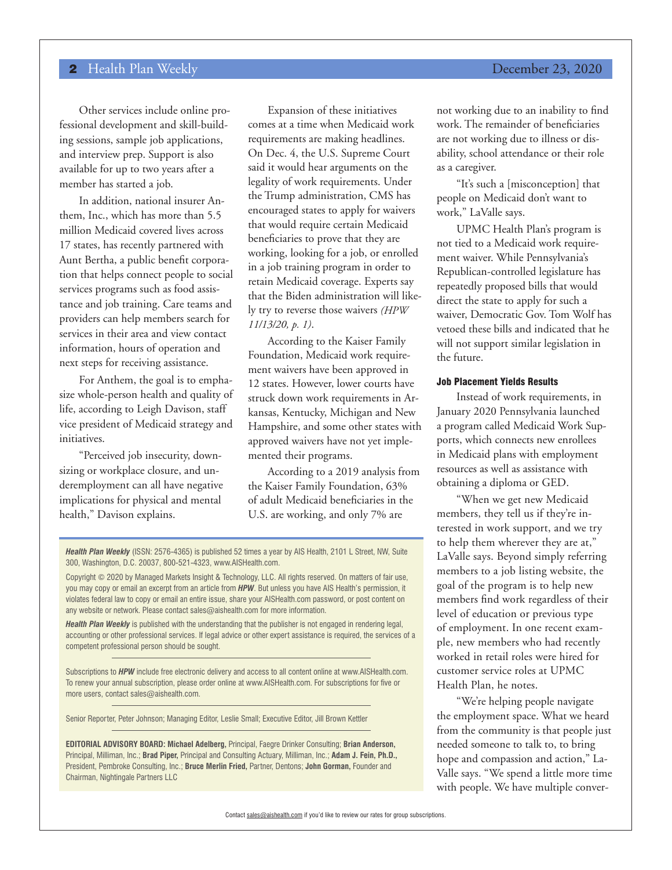Other services include online professional development and skill-building sessions, sample job applications, and interview prep. Support is also available for up to two years after a member has started a job.

In addition, national insurer Anthem, Inc., which has more than 5.5 million Medicaid covered lives across 17 states, has recently partnered with Aunt Bertha, a public benefit corporation that helps connect people to social services programs such as food assistance and job training. Care teams and providers can help members search for services in their area and view contact information, hours of operation and next steps for receiving assistance.

For Anthem, the goal is to emphasize whole-person health and quality of life, according to Leigh Davison, staff vice president of Medicaid strategy and initiatives.

"Perceived job insecurity, downsizing or workplace closure, and underemployment can all have negative implications for physical and mental health," Davison explains.

Expansion of these initiatives comes at a time when Medicaid work requirements are making headlines. On Dec. 4, the U.S. Supreme Court said it would hear arguments on the legality of work requirements. Under the Trump administration, CMS has encouraged states to apply for waivers that would require certain Medicaid beneficiaries to prove that they are working, looking for a job, or enrolled in a job training program in order to retain Medicaid coverage. Experts say that the Biden administration will likely try to reverse those waivers *(HPW 11/13/20, p. 1)*.

According to the Kaiser Family Foundation, Medicaid work requirement waivers have been approved in 12 states. However, lower courts have struck down work requirements in Arkansas, Kentucky, Michigan and New Hampshire, and some other states with approved waivers have not yet implemented their programs.

According to a 2019 analysis from the Kaiser Family Foundation, 63% of adult Medicaid beneficiaries in the U.S. are working, and only 7% are

Health Plan Weekly (ISSN: 2576-4365) is published 52 times a year by AIS Health, 2101 L Street, NW, Suite 300, Washington, D.C. 20037, 800-521-4323, www.AISHealth.com.

Copyright © 2020 by Managed Markets Insight & Technology, LLC. All rights reserved. On matters of fair use, you may copy or email an excerpt from an article from *HPW*. But unless you have AIS Health's permission, it violates federal law to copy or email an entire issue, share your AISHealth.com password, or post content on any website or network. Please contact sales@aishealth.com for more information.

*Health Plan Weekly* is published with the understanding that the publisher is not engaged in rendering legal, accounting or other professional services. If legal advice or other expert assistance is required, the services of a competent professional person should be sought.

Subscriptions to *HPW* include free electronic delivery and access to all content online at www.AISHealth.com. To renew your annual subscription, please order online at www.AISHealth.com. For subscriptions for five or more users, contact sales@aishealth.com.

Senior Reporter, Peter Johnson; Managing Editor, Leslie Small; Executive Editor, Jill Brown Kettler

**EDITORIAL ADVISORY BOARD: Michael Adelberg,** Principal, Faegre Drinker Consulting; **Brian Anderson,**  Principal, Milliman, Inc.; **Brad Piper,** Principal and Consulting Actuary, Milliman, Inc.; **Adam J. Fein, Ph.D.,**  President, Pembroke Consulting, Inc.; **Bruce Merlin Fried,** Partner, Dentons; **John Gorman,** Founder and Chairman, Nightingale Partners LLC

not working due to an inability to find work. The remainder of beneficiaries are not working due to illness or disability, school attendance or their role as a caregiver.

"It's such a [misconception] that people on Medicaid don't want to work," LaValle says.

UPMC Health Plan's program is not tied to a Medicaid work requirement waiver. While Pennsylvania's Republican-controlled legislature has repeatedly proposed bills that would direct the state to apply for such a waiver, Democratic Gov. Tom Wolf has vetoed these bills and indicated that he will not support similar legislation in the future.

### Job Placement Yields Results

Instead of work requirements, in January 2020 Pennsylvania launched a program called Medicaid Work Supports, which connects new enrollees in Medicaid plans with employment resources as well as assistance with obtaining a diploma or GED.

"When we get new Medicaid members, they tell us if they're interested in work support, and we try to help them wherever they are at," LaValle says. Beyond simply referring members to a job listing website, the goal of the program is to help new members find work regardless of their level of education or previous type of employment. In one recent example, new members who had recently worked in retail roles were hired for customer service roles at UPMC Health Plan, he notes.

"We're helping people navigate the employment space. What we heard from the community is that people just needed someone to talk to, to bring hope and compassion and action," La-Valle says. "We spend a little more time with people. We have multiple conver-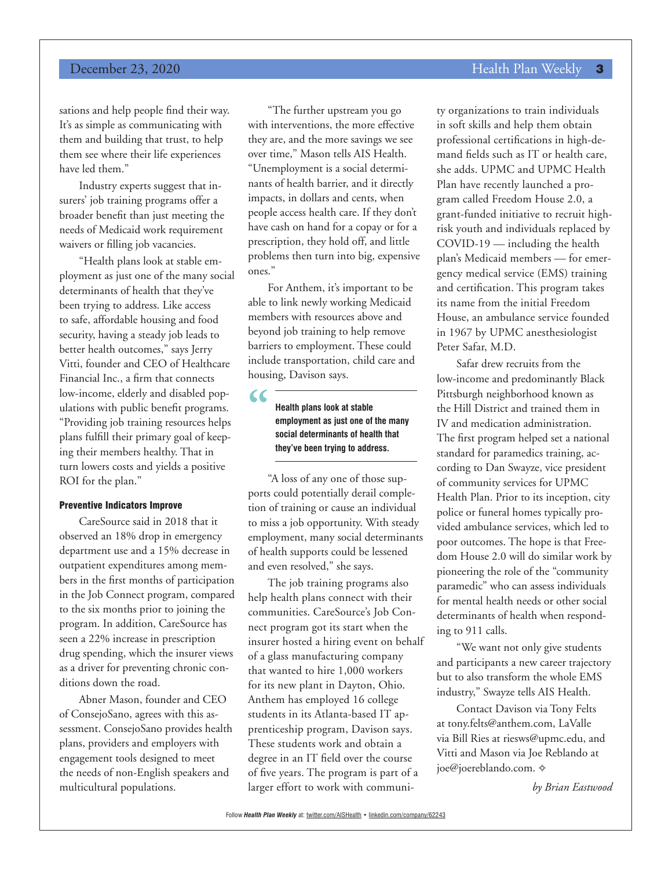## **December 23, 2020 Health Plan Weekly 3**

sations and help people find their way. It's as simple as communicating with them and building that trust, to help them see where their life experiences have led them."

Industry experts suggest that insurers' job training programs offer a broader benefit than just meeting the needs of Medicaid work requirement waivers or filling job vacancies.

"Health plans look at stable employment as just one of the many social determinants of health that they've been trying to address. Like access to safe, affordable housing and food security, having a steady job leads to better health outcomes," says Jerry Vitti, founder and CEO of Healthcare Financial Inc., a firm that connects low-income, elderly and disabled populations with public benefit programs. "Providing job training resources helps plans fulfill their primary goal of keeping their members healthy. That in turn lowers costs and yields a positive ROI for the plan."

#### Preventive Indicators Improve

CareSource said in 2018 that it observed an 18% drop in emergency department use and a 15% decrease in outpatient expenditures among members in the first months of participation in the Job Connect program, compared to the six months prior to joining the program. In addition, CareSource has seen a 22% increase in prescription drug spending, which the insurer views as a driver for preventing chronic conditions down the road.

Abner Mason, founder and CEO of ConsejoSano, agrees with this assessment. ConsejoSano provides health plans, providers and employers with engagement tools designed to meet the needs of non-English speakers and multicultural populations.

"The further upstream you go with interventions, the more effective they are, and the more savings we see over time," Mason tells AIS Health. "Unemployment is a social determinants of health barrier, and it directly impacts, in dollars and cents, when people access health care. If they don't have cash on hand for a copay or for a prescription, they hold off, and little problems then turn into big, expensive ones."

For Anthem, it's important to be able to link newly working Medicaid members with resources above and beyond job training to help remove barriers to employment. These could include transportation, child care and housing, Davison says.

**"**

**Health plans look at stable employment as just one of the many social determinants of health that they've been trying to address.**

"A loss of any one of those supports could potentially derail completion of training or cause an individual to miss a job opportunity. With steady employment, many social determinants of health supports could be lessened and even resolved," she says.

The job training programs also help health plans connect with their communities. CareSource's Job Connect program got its start when the insurer hosted a hiring event on behalf of a glass manufacturing company that wanted to hire 1,000 workers for its new plant in Dayton, Ohio. Anthem has employed 16 college students in its Atlanta-based IT apprenticeship program, Davison says. These students work and obtain a degree in an IT field over the course of five years. The program is part of a larger effort to work with community organizations to train individuals in soft skills and help them obtain professional certifications in high-demand fields such as IT or health care, she adds. UPMC and UPMC Health Plan have recently launched a program called Freedom House 2.0, a grant-funded initiative to recruit highrisk youth and individuals replaced by COVID-19 — including the health plan's Medicaid members — for emergency medical service (EMS) training and certification. This program takes its name from the initial Freedom House, an ambulance service founded in 1967 by UPMC anesthesiologist Peter Safar, M.D.

Safar drew recruits from the low-income and predominantly Black Pittsburgh neighborhood known as the Hill District and trained them in IV and medication administration. The first program helped set a national standard for paramedics training, according to Dan Swayze, vice president of community services for UPMC Health Plan. Prior to its inception, city police or funeral homes typically provided ambulance services, which led to poor outcomes. The hope is that Freedom House 2.0 will do similar work by pioneering the role of the "community paramedic" who can assess individuals for mental health needs or other social determinants of health when responding to 911 calls.

"We want not only give students and participants a new career trajectory but to also transform the whole EMS industry," Swayze tells AIS Health.

Contact Davison via Tony Felts at tony.felts@anthem.com, LaValle via Bill Ries at riesws@upmc.edu, and Vitti and Mason via Joe Reblando at joe@joereblando.com.  $\diamond$ 

*by Brian Eastwood*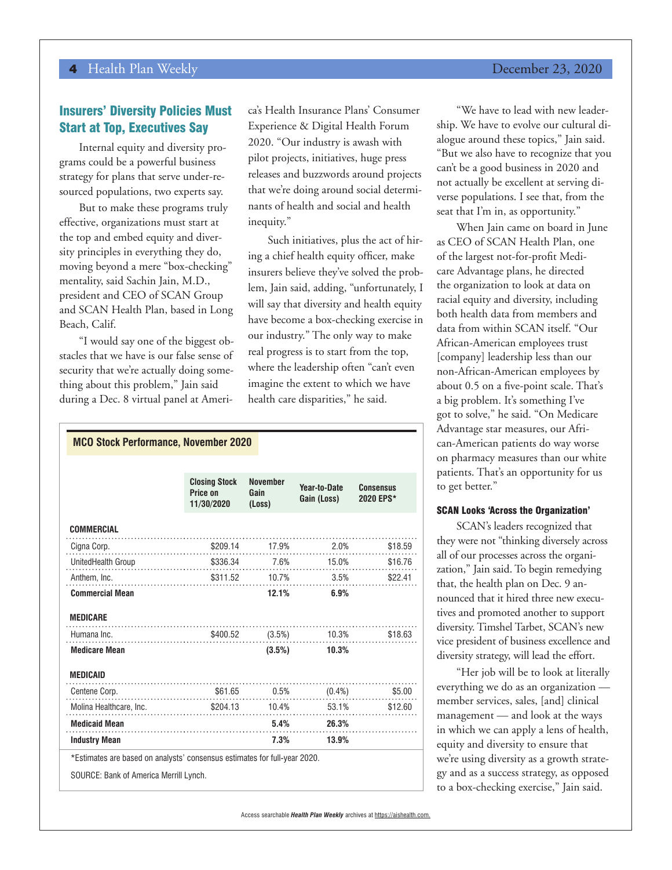## Insurers' Diversity Policies Must Start at Top, Executives Say

Internal equity and diversity programs could be a powerful business strategy for plans that serve under-resourced populations, two experts say.

But to make these programs truly effective, organizations must start at the top and embed equity and diversity principles in everything they do, moving beyond a mere "box-checking" mentality, said Sachin Jain, M.D., president and CEO of SCAN Group and SCAN Health Plan, based in Long Beach, Calif.

"I would say one of the biggest obstacles that we have is our false sense of security that we're actually doing something about this problem," Jain said during a Dec. 8 virtual panel at Ameri-

ca's Health Insurance Plans' Consumer Experience & Digital Health Forum 2020. "Our industry is awash with pilot projects, initiatives, huge press releases and buzzwords around projects that we're doing around social determinants of health and social and health inequity."

Such initiatives, plus the act of hiring a chief health equity officer, make insurers believe they've solved the problem, Jain said, adding, "unfortunately, I will say that diversity and health equity have become a box-checking exercise in our industry." The only way to make real progress is to start from the top, where the leadership often "can't even imagine the extent to which we have health care disparities," he said.

| <b>MCO Stock Performance, November 2020</b>                               |                                                |                                   |                             |                                     |
|---------------------------------------------------------------------------|------------------------------------------------|-----------------------------------|-----------------------------|-------------------------------------|
|                                                                           |                                                |                                   |                             |                                     |
|                                                                           | <b>Closing Stock</b><br>Price on<br>11/30/2020 | <b>November</b><br>Gain<br>(Loss) | Year-to-Date<br>Gain (Loss) | <b>Consensus</b><br>2020 EPS*       |
| <b>COMMERCIAL</b>                                                         |                                                |                                   |                             |                                     |
| Cigna Corp.                                                               |                                                |                                   |                             | $$209.14$ 17.9% 2.0% \$18.59        |
| UnitedHealth Group                                                        |                                                |                                   |                             |                                     |
|                                                                           |                                                |                                   |                             |                                     |
| <b>Commercial Mean</b>                                                    |                                                | 12.1%                             | 6.9%                        |                                     |
| <b>MEDICARE</b>                                                           |                                                |                                   |                             |                                     |
| Humana Inc.                                                               |                                                |                                   |                             | $$400.52$ $(3.5%)$ $10.3%$ $$18.63$ |
| <b>Medicare Mean</b>                                                      |                                                |                                   | $(3.5\%)$ 10.3%             |                                     |
| <b>MEDICAID</b>                                                           |                                                |                                   |                             |                                     |
| Centene Corp.                                                             | $$61.65$ 0.5% $(0.4\%)$ \$5.00                 |                                   |                             |                                     |
| Molina Healthcare, Inc. \$204.13 10.4% 53.1% \$12.60                      |                                                |                                   |                             |                                     |
| <b>Medicaid Mean</b>                                                      |                                                |                                   | $5.4\%$ 26.3%               |                                     |
| <b>Industry Mean</b>                                                      |                                                |                                   | 7.3%<br>13.9%               |                                     |
| *Estimates are based on analysts' consensus estimates for full-year 2020. |                                                |                                   |                             |                                     |
| SOURCE: Bank of America Merrill Lynch.                                    |                                                |                                   |                             |                                     |

"We have to lead with new leadership. We have to evolve our cultural dialogue around these topics," Jain said. "But we also have to recognize that you can't be a good business in 2020 and not actually be excellent at serving diverse populations. I see that, from the seat that I'm in, as opportunity."

When Jain came on board in June as CEO of SCAN Health Plan, one of the largest not-for-profit Medicare Advantage plans, he directed the organization to look at data on racial equity and diversity, including both health data from members and data from within SCAN itself. "Our African-American employees trust [company] leadership less than our non-African-American employees by about 0.5 on a five-point scale. That's a big problem. It's something I've got to solve," he said. "On Medicare Advantage star measures, our African-American patients do way worse on pharmacy measures than our white patients. That's an opportunity for us to get better."

#### SCAN Looks 'Across the Organization'

SCAN's leaders recognized that they were not "thinking diversely across all of our processes across the organization," Jain said. To begin remedying that, the health plan on Dec. 9 announced that it hired three new executives and promoted another to support diversity. Timshel Tarbet, SCAN's new vice president of business excellence and diversity strategy, will lead the effort.

"Her job will be to look at literally everything we do as an organization member services, sales, [and] clinical management — and look at the ways in which we can apply a lens of health, equity and diversity to ensure that we're using diversity as a growth strategy and as a success strategy, as opposed to a box-checking exercise," Jain said.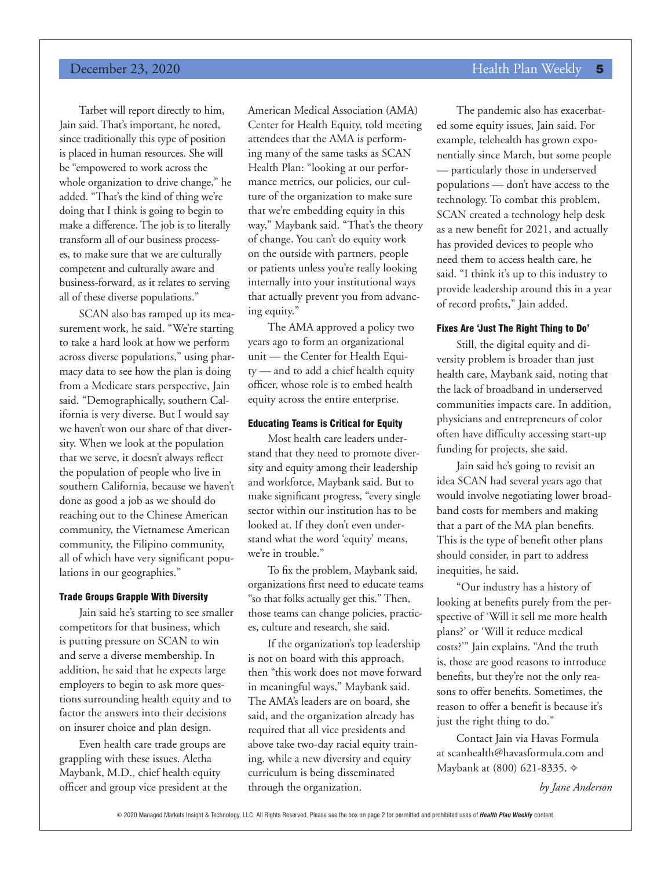## **December 23, 2020 Health Plan Weekly 5**

Tarbet will report directly to him, Jain said. That's important, he noted, since traditionally this type of position is placed in human resources. She will be "empowered to work across the whole organization to drive change," he added. "That's the kind of thing we're doing that I think is going to begin to make a difference. The job is to literally transform all of our business processes, to make sure that we are culturally competent and culturally aware and business-forward, as it relates to serving all of these diverse populations."

SCAN also has ramped up its measurement work, he said. "We're starting to take a hard look at how we perform across diverse populations," using pharmacy data to see how the plan is doing from a Medicare stars perspective, Jain said. "Demographically, southern California is very diverse. But I would say we haven't won our share of that diversity. When we look at the population that we serve, it doesn't always reflect the population of people who live in southern California, because we haven't done as good a job as we should do reaching out to the Chinese American community, the Vietnamese American community, the Filipino community, all of which have very significant populations in our geographies."

#### Trade Groups Grapple With Diversity

Jain said he's starting to see smaller competitors for that business, which is putting pressure on SCAN to win and serve a diverse membership. In addition, he said that he expects large employers to begin to ask more questions surrounding health equity and to factor the answers into their decisions on insurer choice and plan design.

Even health care trade groups are grappling with these issues. Aletha Maybank, M.D., chief health equity officer and group vice president at the American Medical Association (AMA) Center for Health Equity, told meeting attendees that the AMA is performing many of the same tasks as SCAN Health Plan: "looking at our performance metrics, our policies, our culture of the organization to make sure that we're embedding equity in this way," Maybank said. "That's the theory of change. You can't do equity work on the outside with partners, people or patients unless you're really looking internally into your institutional ways that actually prevent you from advancing equity."

The AMA approved a policy two years ago to form an organizational unit — the Center for Health Equity — and to add a chief health equity officer, whose role is to embed health equity across the entire enterprise.

#### Educating Teams is Critical for Equity

Most health care leaders understand that they need to promote diversity and equity among their leadership and workforce, Maybank said. But to make significant progress, "every single sector within our institution has to be looked at. If they don't even understand what the word 'equity' means, we're in trouble."

To fix the problem, Maybank said, organizations first need to educate teams "so that folks actually get this." Then, those teams can change policies, practices, culture and research, she said.

If the organization's top leadership is not on board with this approach, then "this work does not move forward in meaningful ways," Maybank said. The AMA's leaders are on board, she said, and the organization already has required that all vice presidents and above take two-day racial equity training, while a new diversity and equity curriculum is being disseminated through the organization.

The pandemic also has exacerbated some equity issues, Jain said. For example, telehealth has grown exponentially since March, but some people — particularly those in underserved populations — don't have access to the technology. To combat this problem, SCAN created a technology help desk as a new benefit for 2021, and actually has provided devices to people who need them to access health care, he said. "I think it's up to this industry to provide leadership around this in a year of record profits," Jain added.

#### Fixes Are 'Just The Right Thing to Do'

Still, the digital equity and diversity problem is broader than just health care, Maybank said, noting that the lack of broadband in underserved communities impacts care. In addition, physicians and entrepreneurs of color often have difficulty accessing start-up funding for projects, she said.

Jain said he's going to revisit an idea SCAN had several years ago that would involve negotiating lower broadband costs for members and making that a part of the MA plan benefits. This is the type of benefit other plans should consider, in part to address inequities, he said.

"Our industry has a history of looking at benefits purely from the perspective of 'Will it sell me more health plans?' or 'Will it reduce medical costs?'" Jain explains. "And the truth is, those are good reasons to introduce benefits, but they're not the only reasons to offer benefits. Sometimes, the reason to offer a benefit is because it's just the right thing to do."

Contact Jain via Havas Formula at scanhealth@havasformula.com and Maybank at (800) 621-8335. ♦

*by Jane Anderson*

© 2020 Managed Markets Insight & Technology, LLC. All Rights Reserved. Please see the box on page 2 for permitted and prohibited uses of *Health Plan Weekly* content.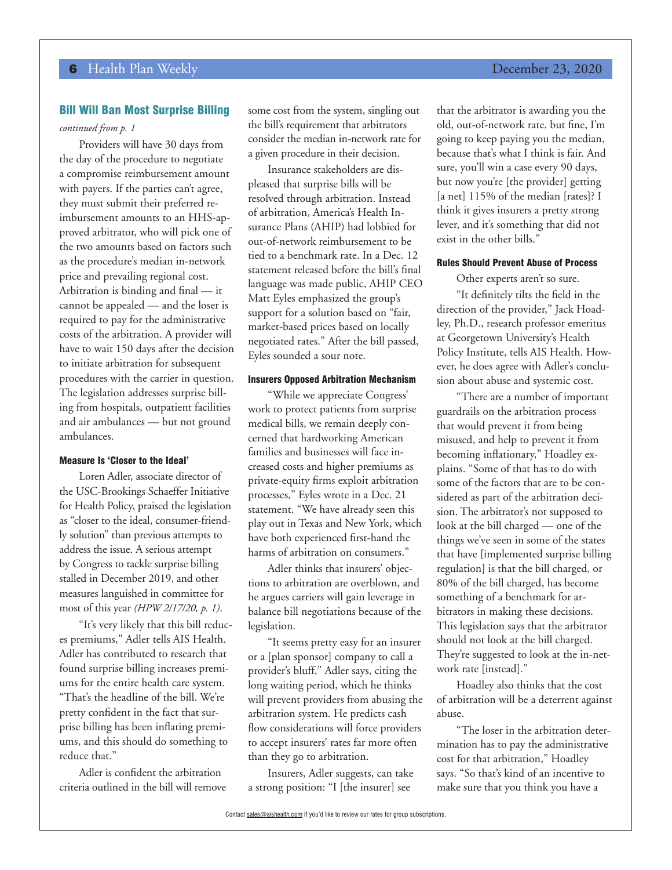#### Bill Will Ban Most Surprise Billing

### *continued from p. 1*

Providers will have 30 days from the day of the procedure to negotiate a compromise reimbursement amount with payers. If the parties can't agree, they must submit their preferred reimbursement amounts to an HHS-approved arbitrator, who will pick one of the two amounts based on factors such as the procedure's median in-network price and prevailing regional cost. Arbitration is binding and final — it cannot be appealed — and the loser is required to pay for the administrative costs of the arbitration. A provider will have to wait 150 days after the decision to initiate arbitration for subsequent procedures with the carrier in question. The legislation addresses surprise billing from hospitals, outpatient facilities and air ambulances — but not ground ambulances.

#### Measure Is 'Closer to the Ideal'

Loren Adler, associate director of the USC-Brookings Schaeffer Initiative for Health Policy, praised the legislation as "closer to the ideal, consumer-friendly solution" than previous attempts to address the issue. A serious attempt by Congress to tackle surprise billing stalled in December 2019, and other measures languished in committee for most of this year *(HPW 2/17/20, p. 1)*.

"It's very likely that this bill reduces premiums," Adler tells AIS Health. Adler has contributed to research that found surprise billing increases premiums for the entire health care system. "That's the headline of the bill. We're pretty confident in the fact that surprise billing has been inflating premiums, and this should do something to reduce that."

Adler is confident the arbitration criteria outlined in the bill will remove some cost from the system, singling out the bill's requirement that arbitrators consider the median in-network rate for a given procedure in their decision.

Insurance stakeholders are displeased that surprise bills will be resolved through arbitration. Instead of arbitration, America's Health Insurance Plans (AHIP) had lobbied for out-of-network reimbursement to be tied to a benchmark rate. In a Dec. 12 statement released before the bill's final language was made public, AHIP CEO Matt Eyles emphasized the group's support for a solution based on "fair, market-based prices based on locally negotiated rates." After the bill passed, Eyles sounded a sour note.

#### Insurers Opposed Arbitration Mechanism

"While we appreciate Congress' work to protect patients from surprise medical bills, we remain deeply concerned that hardworking American families and businesses will face increased costs and higher premiums as private-equity firms exploit arbitration processes," Eyles wrote in a Dec. 21 statement. "We have already seen this play out in Texas and New York, which have both experienced first-hand the harms of arbitration on consumers."

Adler thinks that insurers' objections to arbitration are overblown, and he argues carriers will gain leverage in balance bill negotiations because of the legislation.

"It seems pretty easy for an insurer or a [plan sponsor] company to call a provider's bluff," Adler says, citing the long waiting period, which he thinks will prevent providers from abusing the arbitration system. He predicts cash flow considerations will force providers to accept insurers' rates far more often than they go to arbitration.

Insurers, Adler suggests, can take a strong position: "I [the insurer] see

that the arbitrator is awarding you the old, out-of-network rate, but fine, I'm going to keep paying you the median, because that's what I think is fair. And sure, you'll win a case every 90 days, but now you're [the provider] getting [a net] 115% of the median [rates]? I think it gives insurers a pretty strong lever, and it's something that did not exist in the other bills."

#### Rules Should Prevent Abuse of Process

Other experts aren't so sure.

"It definitely tilts the field in the direction of the provider," Jack Hoadley, Ph.D., research professor emeritus at Georgetown University's Health Policy Institute, tells AIS Health. However, he does agree with Adler's conclusion about abuse and systemic cost.

"There are a number of important guardrails on the arbitration process that would prevent it from being misused, and help to prevent it from becoming inflationary," Hoadley explains. "Some of that has to do with some of the factors that are to be considered as part of the arbitration decision. The arbitrator's not supposed to look at the bill charged — one of the things we've seen in some of the states that have [implemented surprise billing regulation] is that the bill charged, or 80% of the bill charged, has become something of a benchmark for arbitrators in making these decisions. This legislation says that the arbitrator should not look at the bill charged. They're suggested to look at the in-network rate [instead]."

Hoadley also thinks that the cost of arbitration will be a deterrent against abuse.

"The loser in the arbitration determination has to pay the administrative cost for that arbitration," Hoadley says. "So that's kind of an incentive to make sure that you think you have a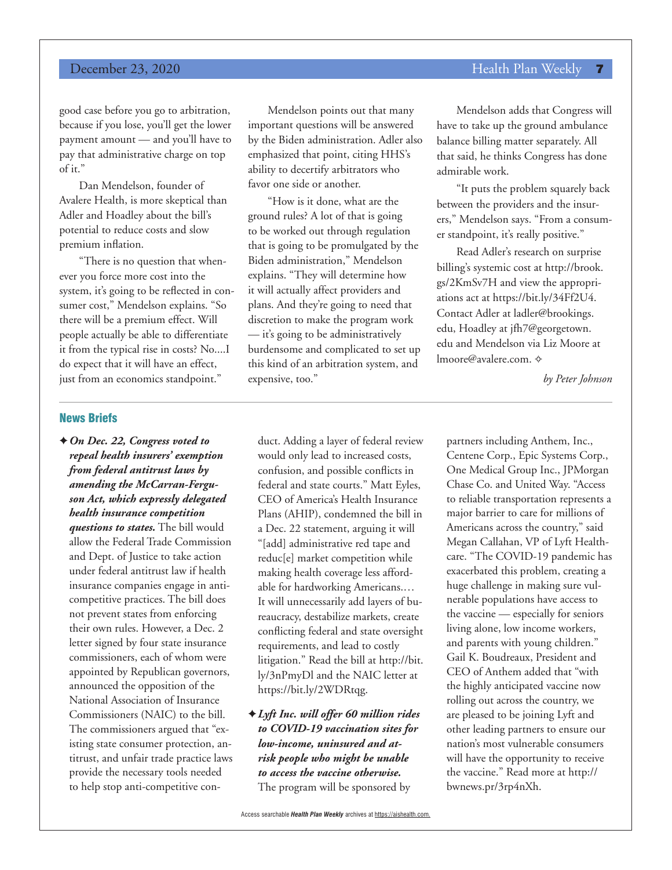## **December 23, 2020 Health Plan Weekly 7**

good case before you go to arbitration, because if you lose, you'll get the lower payment amount — and you'll have to pay that administrative charge on top of it."

Dan Mendelson, founder of Avalere Health, is more skeptical than Adler and Hoadley about the bill's potential to reduce costs and slow premium inflation.

"There is no question that whenever you force more cost into the system, it's going to be reflected in consumer cost," Mendelson explains. "So there will be a premium effect. Will people actually be able to differentiate it from the typical rise in costs? No....I do expect that it will have an effect, just from an economics standpoint."

Mendelson points out that many important questions will be answered by the Biden administration. Adler also emphasized that point, citing HHS's ability to decertify arbitrators who favor one side or another.

"How is it done, what are the ground rules? A lot of that is going to be worked out through regulation that is going to be promulgated by the Biden administration," Mendelson explains. "They will determine how it will actually affect providers and plans. And they're going to need that discretion to make the program work — it's going to be administratively burdensome and complicated to set up this kind of an arbitration system, and expensive, too."

Mendelson adds that Congress will have to take up the ground ambulance balance billing matter separately. All that said, he thinks Congress has done admirable work.

"It puts the problem squarely back between the providers and the insurers," Mendelson says. "From a consumer standpoint, it's really positive."

Read Adler's research on surprise billing's systemic cost at http://brook. gs/2KmSv7H and view the appropriations act at https://bit.ly/34Ff2U4. Contact Adler at ladler@brookings. edu, Hoadley at jfh7@georgetown. edu and Mendelson via Liz Moore at lmoore@avalere.com. ☆

*by Peter Johnson*

### News Briefs

✦*On Dec. 22, Congress voted to repeal health insurers' exemption from federal antitrust laws by amending the McCarran-Ferguson Act, which expressly delegated health insurance competition questions to states.* The bill would allow the Federal Trade Commission and Dept. of Justice to take action under federal antitrust law if health insurance companies engage in anticompetitive practices. The bill does not prevent states from enforcing their own rules. However, a Dec. 2 letter signed by four state insurance commissioners, each of whom were appointed by Republican governors, announced the opposition of the National Association of Insurance Commissioners (NAIC) to the bill. The commissioners argued that "existing state consumer protection, antitrust, and unfair trade practice laws provide the necessary tools needed to help stop anti-competitive conduct. Adding a layer of federal review would only lead to increased costs, confusion, and possible conflicts in federal and state courts." Matt Eyles, CEO of America's Health Insurance Plans (AHIP), condemned the bill in a Dec. 22 statement, arguing it will "[add] administrative red tape and reduc[e] market competition while making health coverage less affordable for hardworking Americans.… It will unnecessarily add layers of bureaucracy, destabilize markets, create conflicting federal and state oversight requirements, and lead to costly litigation." Read the bill at http://bit. ly/3nPmyDl and the NAIC letter at https://bit.ly/2WDRtqg.

✦*Lyft Inc. will offer 60 million rides to COVID-19 vaccination sites for low-income, uninsured and atrisk people who might be unable to access the vaccine otherwise.* The program will be sponsored by

partners including Anthem, Inc., Centene Corp., Epic Systems Corp., One Medical Group Inc., JPMorgan Chase Co. and United Way. "Access to reliable transportation represents a major barrier to care for millions of Americans across the country," said Megan Callahan, VP of Lyft Healthcare. "The COVID-19 pandemic has exacerbated this problem, creating a huge challenge in making sure vulnerable populations have access to the vaccine — especially for seniors living alone, low income workers, and parents with young children." Gail K. Boudreaux, President and CEO of Anthem added that "with the highly anticipated vaccine now rolling out across the country, we are pleased to be joining Lyft and other leading partners to ensure our nation's most vulnerable consumers will have the opportunity to receive the vaccine." Read more at http:// bwnews.pr/3rp4nXh.